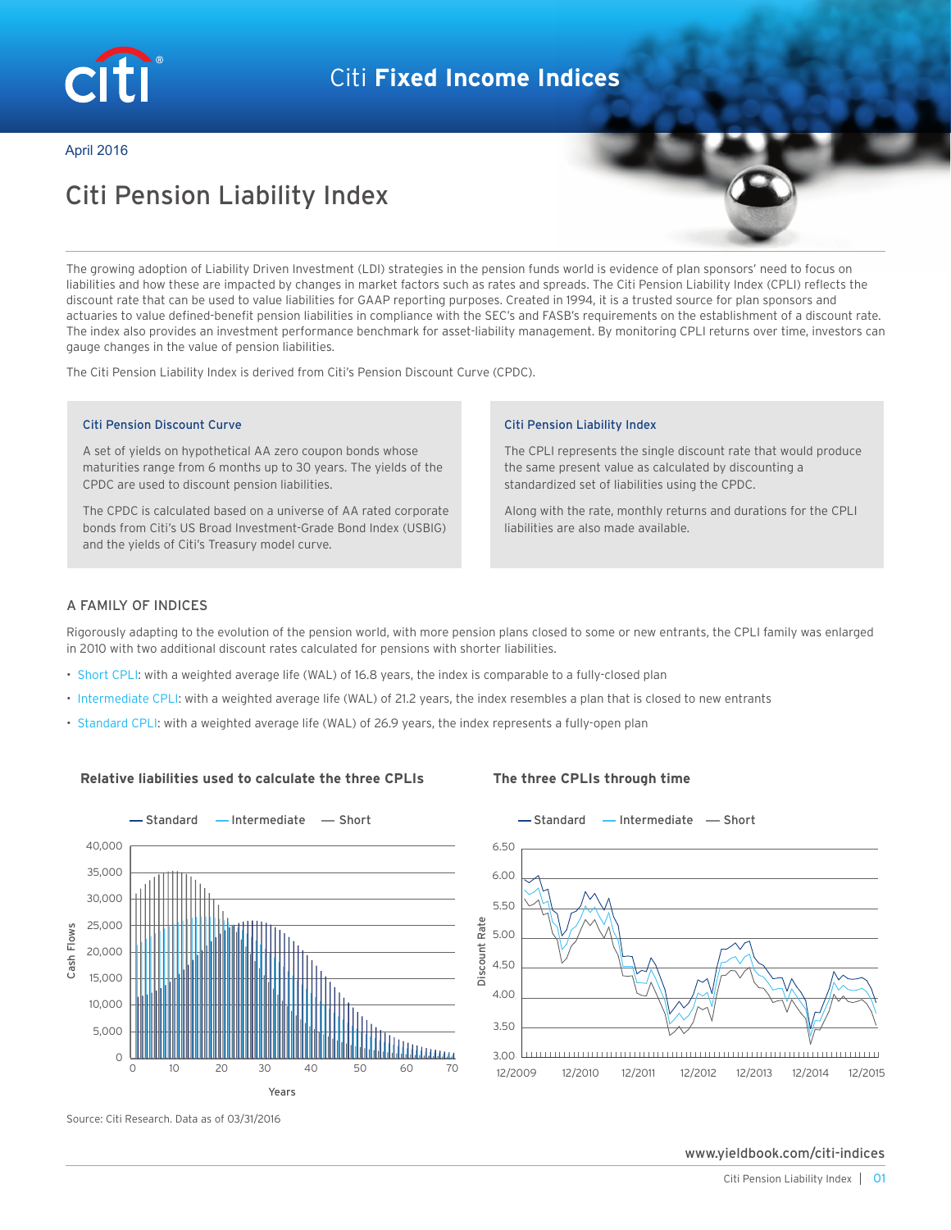

# Citi **Fixed Income Indices**

April 2016

# Citi Pension Liability Index

The growing adoption of Liability Driven Investment (LDI) strategies in the pension funds world is evidence of plan sponsors' need to focus on liabilities and how these are impacted by changes in market factors such as rates and spreads. The Citi Pension Liability Index (CPLI) reflects the discount rate that can be used to value liabilities for GAAP reporting purposes. Created in 1994, it is a trusted source for plan sponsors and actuaries to value defined-benefit pension liabilities in compliance with the SEC's and FASB's requirements on the establishment of a discount rate. The index also provides an investment performance benchmark for asset-liability management. By monitoring CPLI returns over time, investors can gauge changes in the value of pension liabilities.

The Citi Pension Liability Index is derived from Citi's Pension Discount Curve (CPDC).

### Citi Pension Discount Curve

A set of yields on hypothetical AA zero coupon bonds whose maturities range from 6 months up to 30 years. The yields of the CPDC are used to discount pension liabilities.

The CPDC is calculated based on a universe of AA rated corporate bonds from Citi's US Broad Investment-Grade Bond Index (USBIG) and the yields of Citi's Treasury model curve.

### Citi Pension Liability Index

The CPLI represents the single discount rate that would produce the same present value as calculated by discounting a standardized set of liabilities using the CPDC.

Along with the rate, monthly returns and durations for the CPLI liabilities are also made available.

### A FAMILY OF INDICES

Rigorously adapting to the evolution of the pension world, with more pension plans closed to some or new entrants, the CPLI family was enlarged in 2010 with two additional discount rates calculated for pensions with shorter liabilities.

- Short CPLI: with a weighted average life (WAL) of 16.8 years, the index is comparable to a fully-closed plan
- Intermediate CPLI: with a weighted average life (WAL) of 21.2 years, the index resembles a plan that is closed to new entrants
- Standard CPLI: with a weighted average life (WAL) of 26.9 years, the index represents a fully-open plan

### **Relative liabilities used to calculate the three CPLIs The three CPLIs through time**



6.5 6.50 6.0 6.00 5.5 5.50 Discount Rate 5.0 5.00 4.5 4.50 4.0 4.00 3.5 3.50 3.0 3.00 03/31/2016 12/2009 12/2010 12/2011 12/2012 12/2013 12/2014 12/2015

Source: Citi Research. Data as of 03/31/2016

www.yieldbook.com/citi-indices